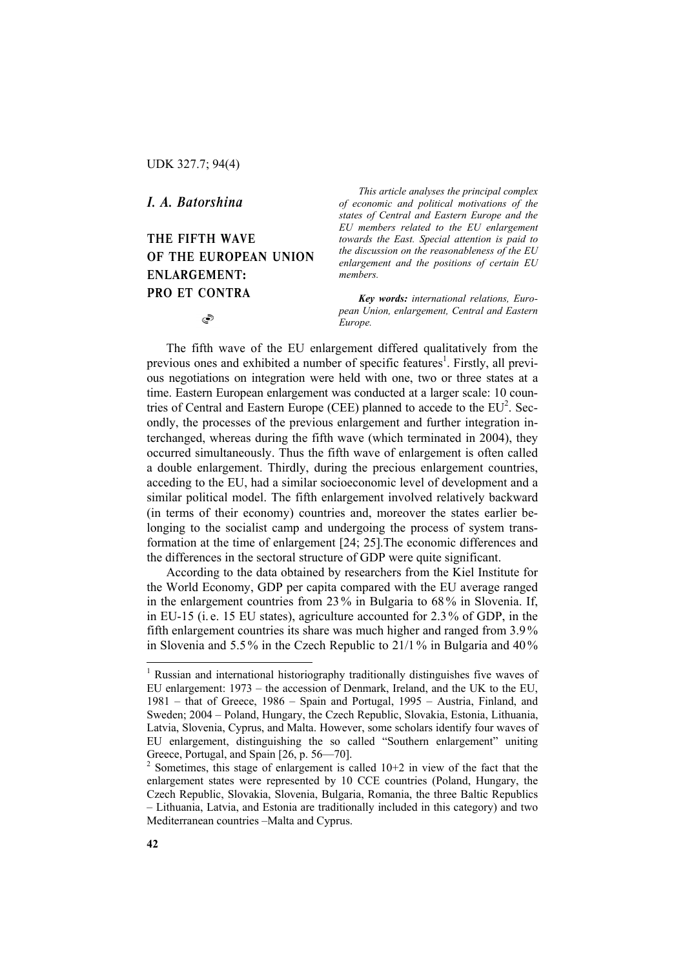UDK 327.7; 94(4)

*I. A. Batorshina* 

THE FIFTH WAVE OF THE EUROPEAN UNION ENLARGEMENT: PRO ET CONTRA

S

*This article analyses the principal complex of economic and political motivations of the states of Central and Eastern Europe and the EU members related to the EU enlargement towards the East. Special attention is paid to the discussion on the reasonableness of the EU enlargement and the positions of certain EU members.* 

*Key words: international relations, European Union, enlargement, Central and Eastern Europe.*

The fifth wave of the EU enlargement differed qualitatively from the previous ones and exhibited a number of specific features<sup>1</sup>. Firstly, all previous negotiations on integration were held with one, two or three states at a time. Eastern European enlargement was conducted at a larger scale: 10 countries of Central and Eastern Europe (CEE) planned to accede to the  $EU^2$ . Secondly, the processes of the previous enlargement and further integration interchanged, whereas during the fifth wave (which terminated in 2004), they occurred simultaneously. Thus the fifth wave of enlargement is often called a double enlargement. Thirdly, during the precious enlargement countries, acceding to the EU, had a similar socioeconomic level of development and a similar political model. The fifth enlargement involved relatively backward (in terms of their economy) countries and, moreover the states earlier belonging to the socialist camp and undergoing the process of system transformation at the time of enlargement [24; 25].The economic differences and the differences in the sectoral structure of GDP were quite significant.

According to the data obtained by researchers from the Kiel Institute for the World Economy, GDP per capita compared with the EU average ranged in the enlargement countries from 23% in Bulgaria to 68 % in Slovenia. If, in EU-15 (i. e. 15 EU states), agriculture accounted for 2.3% of GDP, in the fifth enlargement countries its share was much higher and ranged from 3.9 % in Slovenia and 5.5 % in the Czech Republic to 21/1 % in Bulgaria and 40 %

 $\overline{a}$ 

<sup>&</sup>lt;sup>1</sup> Russian and international historiography traditionally distinguishes five waves of EU enlargement: 1973 – the accession of Denmark, Ireland, and the UK to the EU, 1981 – that of Greece, 1986 – Spain and Portugal, 1995 – Austria, Finland, and Sweden; 2004 – Poland, Hungary, the Czech Republic, Slovakia, Estonia, Lithuania, Latvia, Slovenia, Cyprus, and Malta. However, some scholars identify four waves of EU enlargement, distinguishing the so called "Southern enlargement" uniting Greece, Portugal, and Spain [26, p. 56—70].

 $2$  Sometimes, this stage of enlargement is called 10+2 in view of the fact that the enlargement states were represented by 10 CCE countries (Poland, Hungary, the Czech Republic, Slovakia, Slovenia, Bulgaria, Romania, the three Baltic Republics – Lithuania, Latvia, and Estonia are traditionally included in this category) and two Mediterranean countries –Malta and Cyprus.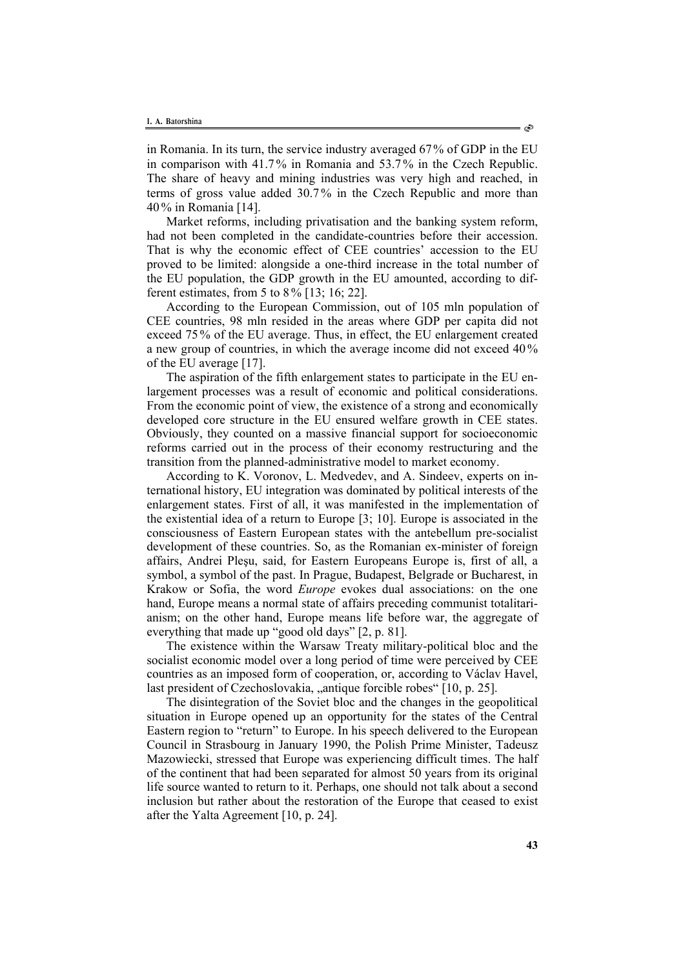in Romania. In its turn, the service industry averaged 67% of GDP in the EU in comparison with 41.7% in Romania and 53.7% in the Czech Republic. The share of heavy and mining industries was very high and reached, in terms of gross value added 30.7 % in the Czech Republic and more than 40 % in Romania [14].

Market reforms, including privatisation and the banking system reform, had not been completed in the candidate-countries before their accession. That is why the economic effect of CEE countries' accession to the EU proved to be limited: alongside a one-third increase in the total number of the EU population, the GDP growth in the EU amounted, according to different estimates, from 5 to 8 % [13; 16; 22].

According to the European Commission, out of 105 mln population of CEE countries, 98 mln resided in the areas where GDP per capita did not exceed 75% of the EU average. Thus, in effect, the EU enlargement created a new group of countries, in which the average income did not exceed 40% of the EU average [17].

The aspiration of the fifth enlargement states to participate in the EU enlargement processes was a result of economic and political considerations. From the economic point of view, the existence of a strong and economically developed core structure in the EU ensured welfare growth in CEE states. Obviously, they counted on a massive financial support for socioeconomic reforms carried out in the process of their economy restructuring and the transition from the planned-administrative model to market economy.

According to K. Voronov, L. Medvedev, and A. Sindeev, experts on international history, EU integration was dominated by political interests of the enlargement states. First of all, it was manifested in the implementation of the existential idea of a return to Europe [3; 10]. Europe is associated in the consciousness of Eastern European states with the antebellum pre-socialist development of these countries. So, as the Romanian ex-minister of foreign affairs, Andrei Pleşu, said, for Eastern Europeans Europe is, first of all, a symbol, a symbol of the past. In Prague, Budapest, Belgrade or Bucharest, in Krakow or Sofia, the word *Europe* evokes dual associations: on the one hand, Europe means a normal state of affairs preceding communist totalitarianism; on the other hand, Europe means life before war, the aggregate of everything that made up "good old days" [2, p. 81].

The existence within the Warsaw Treaty military-political bloc and the socialist economic model over a long period of time were perceived by CEE countries as an imposed form of cooperation, or, according to Václav Havel, last president of Czechoslovakia, "antique forcible robes" [10, p. 25].

The disintegration of the Soviet bloc and the changes in the geopolitical situation in Europe opened up an opportunity for the states of the Central Eastern region to "return" to Europe. In his speech delivered to the European Council in Strasbourg in January 1990, the Polish Prime Minister, Tadeusz Mazowiecki, stressed that Europe was experiencing difficult times. The half of the continent that had been separated for almost 50 years from its original life source wanted to return to it. Perhaps, one should not talk about a second inclusion but rather about the restoration of the Europe that ceased to exist after the Yalta Agreement [10, p. 24].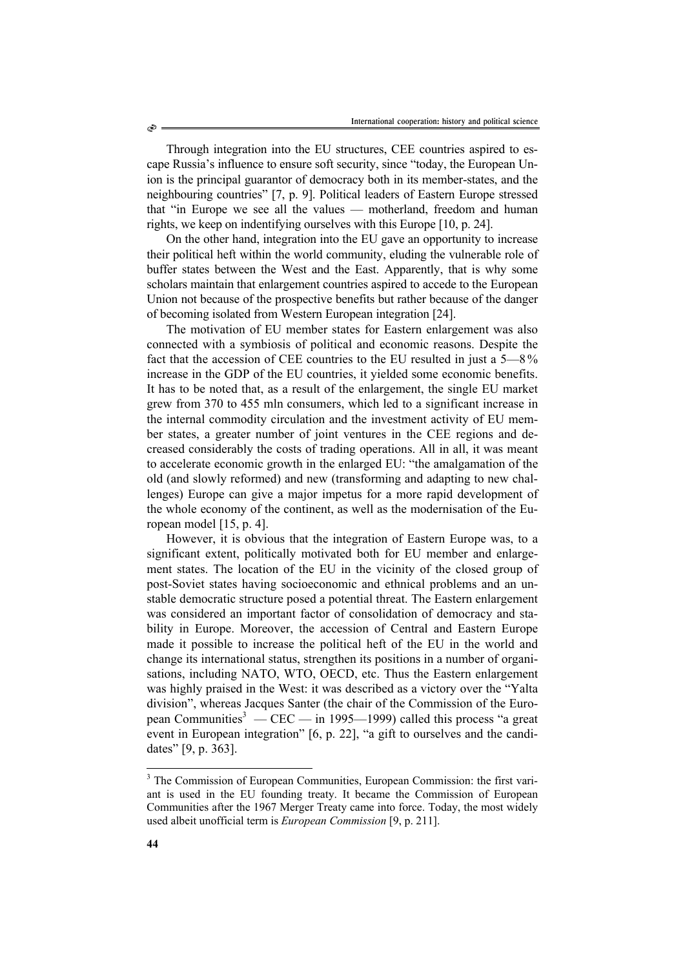Through integration into the EU structures, CEE countries aspired to escape Russia's influence to ensure soft security, since "today, the European Union is the principal guarantor of democracy both in its member-states, and the neighbouring countries" [7, p. 9]. Political leaders of Eastern Europe stressed that "in Europe we see all the values — motherland, freedom and human rights, we keep on indentifying ourselves with this Europe [10, p. 24].

On the other hand, integration into the EU gave an opportunity to increase their political heft within the world community, eluding the vulnerable role of buffer states between the West and the East. Apparently, that is why some scholars maintain that enlargement countries aspired to accede to the European Union not because of the prospective benefits but rather because of the danger of becoming isolated from Western European integration [24].

The motivation of EU member states for Eastern enlargement was also connected with a symbiosis of political and economic reasons. Despite the fact that the accession of CEE countries to the EU resulted in just a 5—8 % increase in the GDP of the EU countries, it yielded some economic benefits. It has to be noted that, as a result of the enlargement, the single EU market grew from 370 to 455 mln consumers, which led to a significant increase in the internal commodity circulation and the investment activity of EU member states, a greater number of joint ventures in the CEE regions and decreased considerably the costs of trading operations. All in all, it was meant to accelerate economic growth in the enlarged EU: "the amalgamation of the old (and slowly reformed) and new (transforming and adapting to new challenges) Europe can give a major impetus for a more rapid development of the whole economy of the continent, as well as the modernisation of the European model [15, p. 4].

However, it is obvious that the integration of Eastern Europe was, to a significant extent, politically motivated both for EU member and enlargement states. The location of the EU in the vicinity of the closed group of post-Soviet states having socioeconomic and ethnical problems and an unstable democratic structure posed a potential threat. The Eastern enlargement was considered an important factor of consolidation of democracy and stability in Europe. Moreover, the accession of Central and Eastern Europe made it possible to increase the political heft of the EU in the world and change its international status, strengthen its positions in a number of organisations, including NATO, WTO, OECD, etc. Thus the Eastern enlargement was highly praised in the West: it was described as a victory over the "Yalta division", whereas Jacques Santer (the chair of the Commission of the European Communities<sup>3</sup> — CEC — in 1995—1999) called this process "a great event in European integration" [6, p. 22], "a gift to ourselves and the candidates" [9, p. 363].

۹

l

<sup>&</sup>lt;sup>3</sup> The Commission of European Communities, European Commission: the first variant is used in the EU founding treaty. It became the Commission of European Communities after the 1967 Merger Treaty came into force. Today, the most widely used albeit unofficial term is *European Commission* [9, p. 211].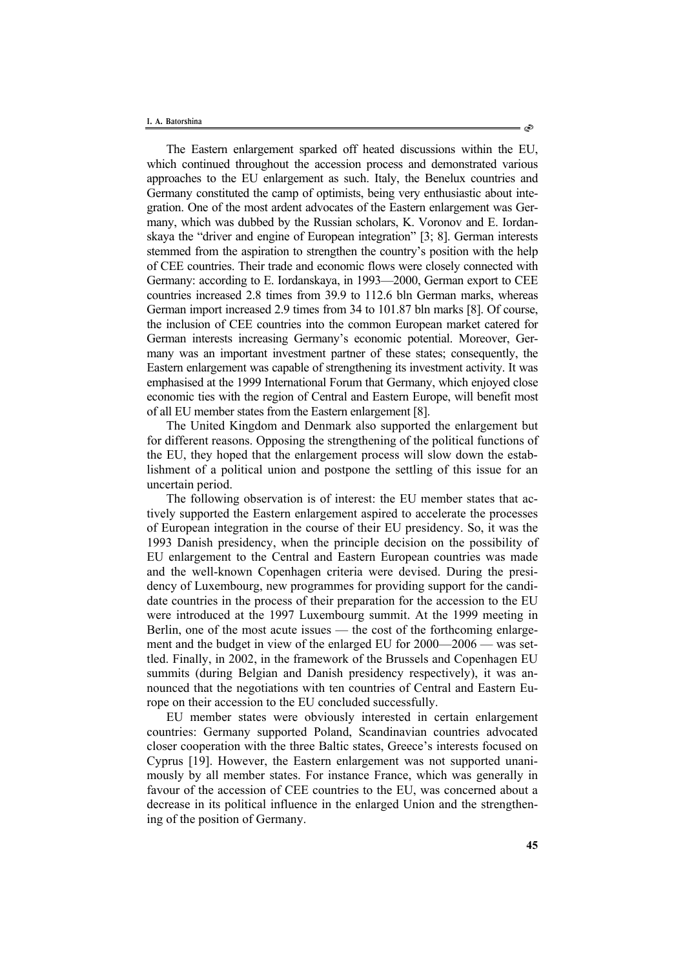The Eastern enlargement sparked off heated discussions within the EU, which continued throughout the accession process and demonstrated various approaches to the EU enlargement as such. Italy, the Benelux countries and Germany constituted the camp of optimists, being very enthusiastic about integration. One of the most ardent advocates of the Eastern enlargement was Germany, which was dubbed by the Russian scholars, K. Voronov and E. Iordanskaya the "driver and engine of European integration" [3; 8]. German interests stemmed from the aspiration to strengthen the country's position with the help of CEE countries. Their trade and economic flows were closely connected with Germany: according to E. Iordanskaya, in 1993—2000, German export to CEE countries increased 2.8 times from 39.9 to 112.6 bln German marks, whereas German import increased 2.9 times from 34 to 101.87 bln marks [8]. Of course, the inclusion of CEE countries into the common European market catered for German interests increasing Germany's economic potential. Moreover, Germany was an important investment partner of these states; consequently, the Eastern enlargement was capable of strengthening its investment activity. It was emphasised at the 1999 International Forum that Germany, which enjoyed close economic ties with the region of Central and Eastern Europe, will benefit most of all EU member states from the Eastern enlargement [8].

The United Kingdom and Denmark also supported the enlargement but for different reasons. Opposing the strengthening of the political functions of the EU, they hoped that the enlargement process will slow down the establishment of a political union and postpone the settling of this issue for an uncertain period.

The following observation is of interest: the EU member states that actively supported the Eastern enlargement aspired to accelerate the processes of European integration in the course of their EU presidency. So, it was the 1993 Danish presidency, when the principle decision on the possibility of EU enlargement to the Central and Eastern European countries was made and the well-known Copenhagen criteria were devised. During the presidency of Luxembourg, new programmes for providing support for the candidate countries in the process of their preparation for the accession to the EU were introduced at the 1997 Luxembourg summit. At the 1999 meeting in Berlin, one of the most acute issues — the cost of the forthcoming enlargement and the budget in view of the enlarged EU for 2000—2006 — was settled. Finally, in 2002, in the framework of the Brussels and Copenhagen EU summits (during Belgian and Danish presidency respectively), it was announced that the negotiations with ten countries of Central and Eastern Europe on their accession to the EU concluded successfully.

EU member states were obviously interested in certain enlargement countries: Germany supported Poland, Scandinavian countries advocated closer cooperation with the three Baltic states, Greece's interests focused on Cyprus [19]. However, the Eastern enlargement was not supported unanimously by all member states. For instance France, which was generally in favour of the accession of CEE countries to the EU, was concerned about a decrease in its political influence in the enlarged Union and the strengthening of the position of Germany.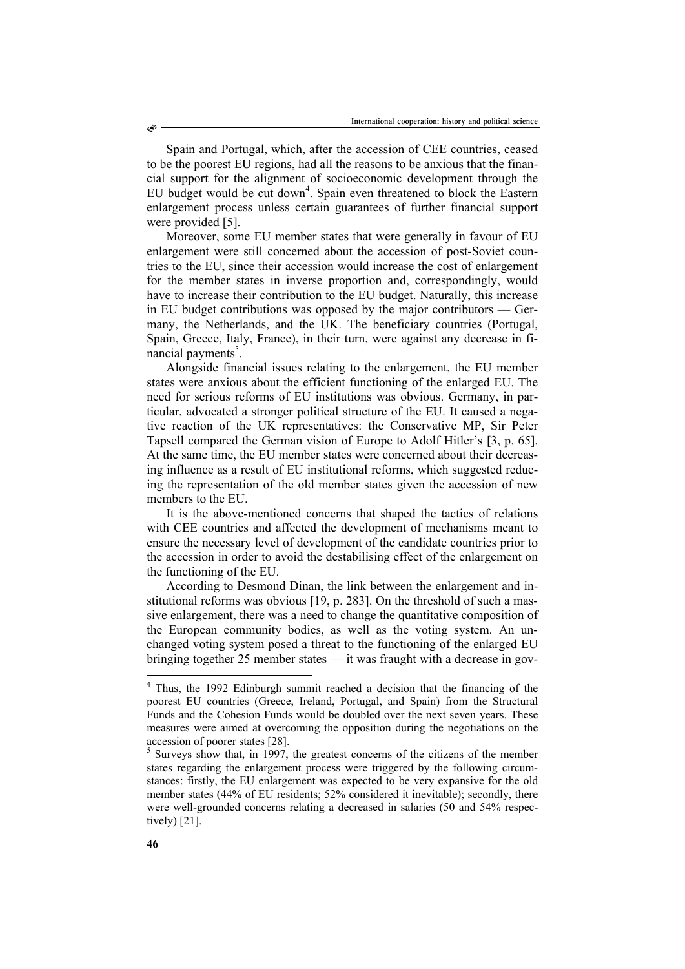Spain and Portugal, which, after the accession of CEE countries, ceased to be the poorest EU regions, had all the reasons to be anxious that the financial support for the alignment of socioeconomic development through the EU budget would be cut down<sup>4</sup>. Spain even threatened to block the Eastern enlargement process unless certain guarantees of further financial support were provided [5].

Moreover, some EU member states that were generally in favour of EU enlargement were still concerned about the accession of post-Soviet countries to the EU, since their accession would increase the cost of enlargement for the member states in inverse proportion and, correspondingly, would have to increase their contribution to the EU budget. Naturally, this increase in EU budget contributions was opposed by the major contributors — Germany, the Netherlands, and the UK. The beneficiary countries (Portugal, Spain, Greece, Italy, France), in their turn, were against any decrease in financial payments<sup>5</sup>.

Alongside financial issues relating to the enlargement, the EU member states were anxious about the efficient functioning of the enlarged EU. The need for serious reforms of EU institutions was obvious. Germany, in particular, advocated a stronger political structure of the EU. It caused a negative reaction of the UK representatives: the Conservative MP, Sir Peter Tapsell compared the German vision of Europe to Adolf Hitler's [3, p. 65]. At the same time, the EU member states were concerned about their decreasing influence as a result of EU institutional reforms, which suggested reducing the representation of the old member states given the accession of new members to the EU.

It is the above-mentioned concerns that shaped the tactics of relations with CEE countries and affected the development of mechanisms meant to ensure the necessary level of development of the candidate countries prior to the accession in order to avoid the destabilising effect of the enlargement on the functioning of the EU.

According to Desmond Dinan, the link between the enlargement and institutional reforms was obvious [19, p. 283]. On the threshold of such a massive enlargement, there was a need to change the quantitative composition of the European community bodies, as well as the voting system. An unchanged voting system posed a threat to the functioning of the enlarged EU bringing together 25 member states — it was fraught with a decrease in gov-

 $\overline{a}$ 

S

<sup>&</sup>lt;sup>4</sup> Thus, the 1992 Edinburgh summit reached a decision that the financing of the poorest EU countries (Greece, Ireland, Portugal, and Spain) from the Structural Funds and the Cohesion Funds would be doubled over the next seven years. These measures were aimed at overcoming the opposition during the negotiations on the accession of poorer states [28].

<sup>&</sup>lt;sup>5</sup> Surveys show that, in 1997, the greatest concerns of the citizens of the member states regarding the enlargement process were triggered by the following circumstances: firstly, the EU enlargement was expected to be very expansive for the old member states (44% of EU residents; 52% considered it inevitable); secondly, there were well-grounded concerns relating a decreased in salaries (50 and 54% respectively) [21].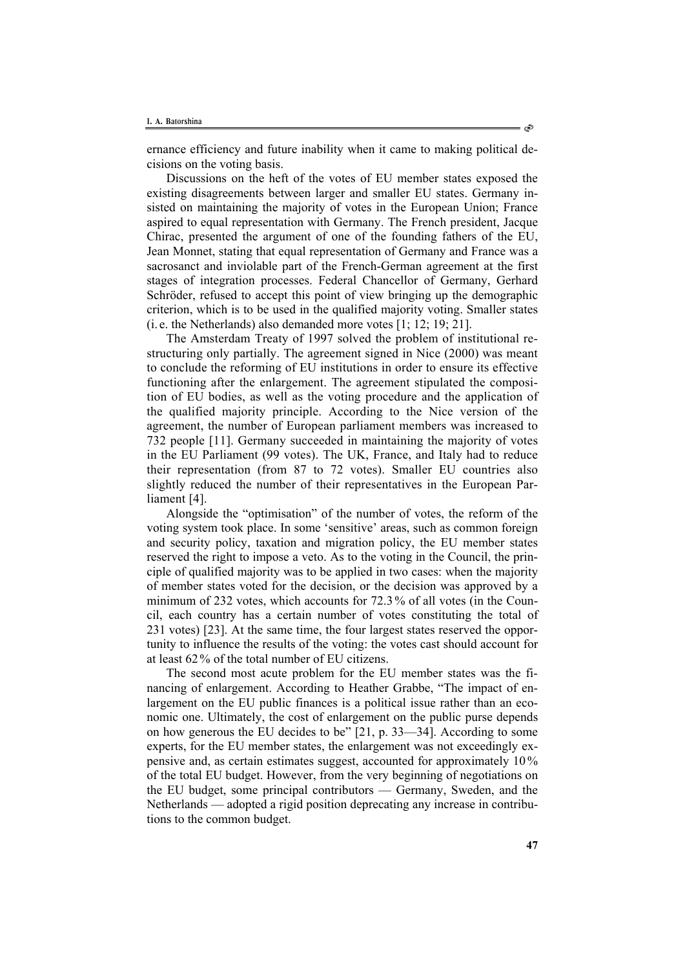ernance efficiency and future inability when it came to making political decisions on the voting basis.

Discussions on the heft of the votes of EU member states exposed the existing disagreements between larger and smaller EU states. Germany insisted on maintaining the majority of votes in the European Union; France aspired to equal representation with Germany. The French president, Jacque Chirac, presented the argument of one of the founding fathers of the EU, Jean Monnet, stating that equal representation of Germany and France was a sacrosanct and inviolable part of the French-German agreement at the first stages of integration processes. Federal Chancellor of Germany, Gerhard Schröder, refused to accept this point of view bringing up the demographic criterion, which is to be used in the qualified majority voting. Smaller states (i. e. the Netherlands) also demanded more votes [1; 12; 19; 21].

The Amsterdam Treaty of 1997 solved the problem of institutional restructuring only partially. The agreement signed in Nice (2000) was meant to conclude the reforming of EU institutions in order to ensure its effective functioning after the enlargement. The agreement stipulated the composition of EU bodies, as well as the voting procedure and the application of the qualified majority principle. According to the Nice version of the agreement, the number of European parliament members was increased to 732 people [11]. Germany succeeded in maintaining the majority of votes in the EU Parliament (99 votes). The UK, France, and Italy had to reduce their representation (from 87 to 72 votes). Smaller EU countries also slightly reduced the number of their representatives in the European Parliament [4].

Alongside the "optimisation" of the number of votes, the reform of the voting system took place. In some 'sensitive' areas, such as common foreign and security policy, taxation and migration policy, the EU member states reserved the right to impose a veto. As to the voting in the Council, the principle of qualified majority was to be applied in two cases: when the majority of member states voted for the decision, or the decision was approved by a minimum of 232 votes, which accounts for 72.3% of all votes (in the Council, each country has a certain number of votes constituting the total of 231 votes) [23]. At the same time, the four largest states reserved the opportunity to influence the results of the voting: the votes cast should account for at least 62% of the total number of EU citizens.

The second most acute problem for the EU member states was the financing of enlargement. According to Heather Grabbe, "The impact of enlargement on the EU public finances is a political issue rather than an economic one. Ultimately, the cost of enlargement on the public purse depends on how generous the EU decides to be" [21, p. 33—34]. According to some experts, for the EU member states, the enlargement was not exceedingly expensive and, as certain estimates suggest, accounted for approximately 10 % of the total EU budget. However, from the very beginning of negotiations on the EU budget, some principal contributors — Germany, Sweden, and the Netherlands — adopted a rigid position deprecating any increase in contributions to the common budget.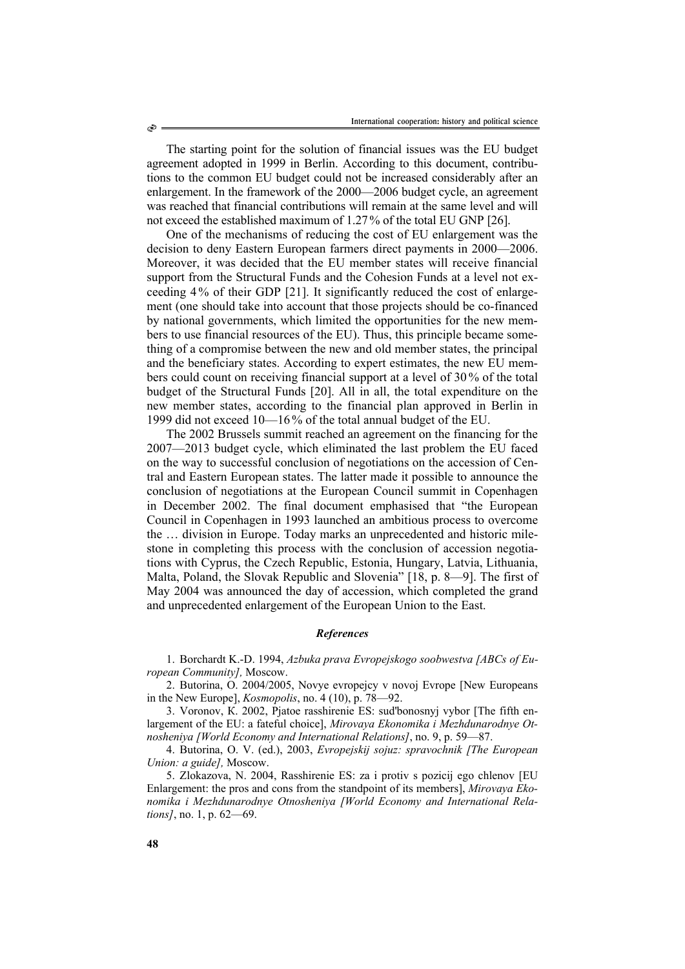The starting point for the solution of financial issues was the EU budget agreement adopted in 1999 in Berlin. According to this document, contributions to the common EU budget could not be increased considerably after an enlargement. In the framework of the 2000—2006 budget cycle, an agreement was reached that financial contributions will remain at the same level and will not exceed the established maximum of 1.27% of the total EU GNP [26].

One of the mechanisms of reducing the cost of EU enlargement was the decision to deny Eastern European farmers direct payments in 2000—2006. Moreover, it was decided that the EU member states will receive financial support from the Structural Funds and the Cohesion Funds at a level not exceeding 4% of their GDP [21]. It significantly reduced the cost of enlargement (one should take into account that those projects should be co-financed by national governments, which limited the opportunities for the new members to use financial resources of the EU). Thus, this principle became something of a compromise between the new and old member states, the principal and the beneficiary states. According to expert estimates, the new EU members could count on receiving financial support at a level of 30 % of the total budget of the Structural Funds [20]. All in all, the total expenditure on the new member states, according to the financial plan approved in Berlin in 1999 did not exceed 10—16 % of the total annual budget of the EU.

The 2002 Brussels summit reached an agreement on the financing for the 2007—2013 budget cycle, which eliminated the last problem the EU faced on the way to successful conclusion of negotiations on the accession of Central and Eastern European states. The latter made it possible to announce the conclusion of negotiations at the European Council summit in Copenhagen in December 2002. The final document emphasised that "the European Council in Copenhagen in 1993 launched an ambitious process to overcome the … division in Europe. Today marks an unprecedented and historic milestone in completing this process with the conclusion of accession negotiations with Cyprus, the Czech Republic, Estonia, Hungary, Latvia, Lithuania, Malta, Poland, the Slovak Republic and Slovenia" [18, p. 8—9]. The first of May 2004 was announced the day of accession, which completed the grand and unprecedented enlargement of the European Union to the East.

## *References*

1. Borchardt K.-D. 1994, *Azbuka prava Evropejskogo soobwestva [ABCs of European Community],* Мoscow.

2. Butorina, О. 2004/2005, Novye evropejcy v novoj Evrope [New Europeans in the New Europe], *Kosmopolis*, no. 4 (10), p. 78—92.

3. Voronov, К. 2002, Pjatoe rasshirenie ES: sud'bonosnyj vybor [The fifth enlargement of the EU: a fateful choice], *Mirovaya Ekonomika i Mezhdunarodnye Otnosheniya [World Economy and International Relations]*, no. 9, p. 59—87.

4. Butorina, О. V. (ed.), 2003, *Evropejskij sojuz: spravochnik [The European Union: a guide],* Moscow.

5. Zlokazova, N. 2004, Rasshirenie ES: za i protiv s pozicij ego chlenov [EU Enlargement: the pros and cons from the standpoint of its members], *Mirovaya Ekonomika i Mezhdunarodnye Otnosheniya [World Economy and International Relations]*, no. 1, p. 62—69.

۹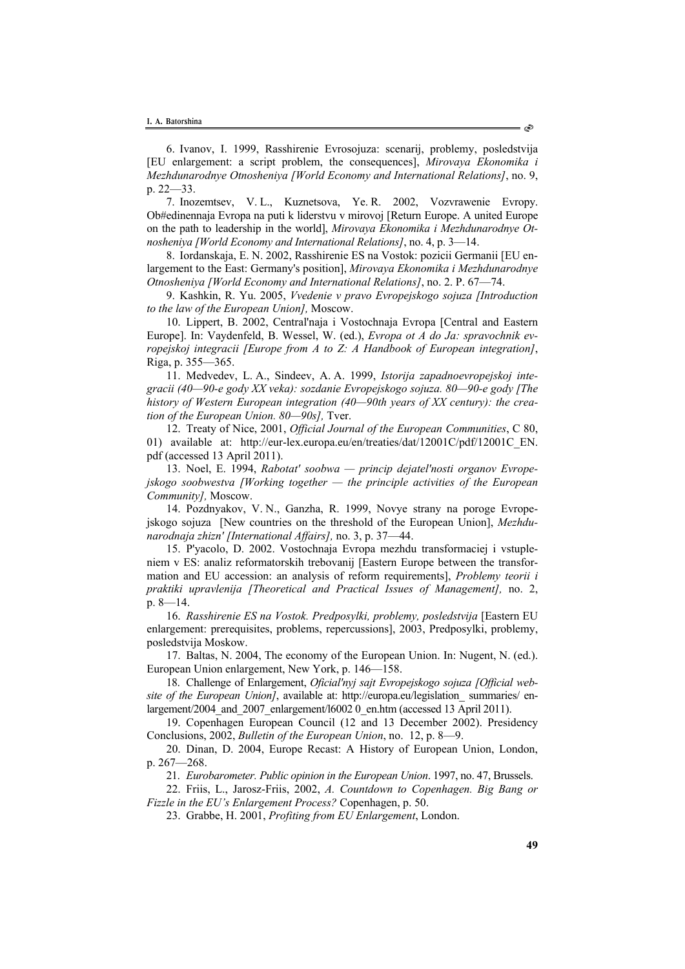6. Ivanov, I. 1999, Rasshirenie Evrosojuza: scenarij, problemy, posledstvija [EU enlargement: a script problem, the consequences], *Mirovaya Ekonomika i Mezhdunarodnye Otnosheniya [World Economy and International Relations]*, no. 9, p. 22—33.

7. Inozemtsev, V. L., Kuznetsova, Ye. R. 2002, Vozvrawenie Evropy. Ob#edinennaja Evropa na puti k liderstvu v mirovoj [Return Europe. A united Europe on the path to leadership in the world], *Mirovaya Ekonomika i Mezhdunarodnye Otnosheniya [World Economy and International Relations]*, no. 4, p. 3—14.

8. Iordanskaja, E. N. 2002, Rasshirenie ES na Vostok: pozicii Germanii [EU enlargement to the East: Germany's position], *Mirovaya Ekonomika i Mezhdunarodnye Otnosheniya [World Economy and International Relations]*, no. 2. P. 67—74.

9. Kashkin, R. Yu. 2005, *Vvedenie v pravo Evropejskogo sojuza [Introduction to the law of the European Union],* Moscow.

10. Lippert, B. 2002, Central'naja i Vostochnaja Evropa [Central and Eastern Europe]. In: Vaydenfeld, B. Wessel, W. (ed.), *Evropa ot A do Ja: spravochnik evropejskoj integracii [Europe from A to Z: A Handbook of European integration]*, Riga, p. 355—365.

11. Medvedev, L. А., Sindeev, А. А. 1999, *Istorija zapadnoevropejskoj integracii (40—90-e gody XX veka): sozdanie Evropejskogo sojuza. 80—90-e gody [The history of Western European integration (40—90th years of XX century): the creation of the European Union. 80—90s],* Tver.

12. Treaty of Nice, 2001, *Official Journal of the European Communities*, C 80, 01) available at: http://eur-lex.europa.eu/en/treaties/dat/12001C/pdf/12001C\_EN. pdf (accessed 13 April 2011).

13. Noel, E. 1994, *Rabotat' soobwa — princip dejatel'nosti organov Evropejskogo soobwestva [Working together — the principle activities of the European Community],* Moscow.

14. Pozdnyakov, V. N., Ganzha, R. 1999, Novye strany na poroge Evropejskogo sojuza [New countries on the threshold of the European Union], *Mezhdunarodnaja zhizn' [International Affairs],* no. 3, p. 37—44.

15. P'yacolo, D. 2002. Vostochnaja Evropa mezhdu transformaciej i vstupleniem v ES: analiz reformatorskih trebovanij [Eastern Europe between the transformation and EU accession: an analysis of reform requirements], *Problemy teorii i praktiki upravlenija [Theoretical and Practical Issues of Management],* no. 2, p. 8—14.

16. *Rasshirenie ES na Vostok. Predposylki, problemy, posledstvija* [Eastern EU enlargement: prerequisites, problems, repercussions], 2003, Predposylki, problemy, posledstvija Moskow.

17. Baltas, N. 2004, The economy of the European Union. In: Nugent, N. (ed.). European Union enlargement, New York, p. 146—158.

18. Challenge of Enlargement, *Oficial'nyj sajt Evropejskogo sojuza [Official website of the European Union]*, available at: http://europa.eu/legislation summaries/ enlargement/2004 and 2007 enlargement/l6002 0 en.htm (accessed 13 April 2011).

19. Copenhagen European Council (12 and 13 December 2002). Presidency Conclusions, 2002, *Bulletin of the European Union*, no. 12, p. 8—9.

20. Dinan, D. 2004, Europe Recast: A History of European Union, London, p. 267—268.

21. *Eurobarometer. Public opinion in the European Union*. 1997, no. 47, Brussels.

22. Friis, L., Jarosz-Friis, 2002, *A. Countdown to Copenhagen. Big Bang or Fizzle in the EU's Enlargement Process?* Copenhagen, p. 50.

23. Grabbe, H. 2001, *Profiting from EU Enlargement*, London.